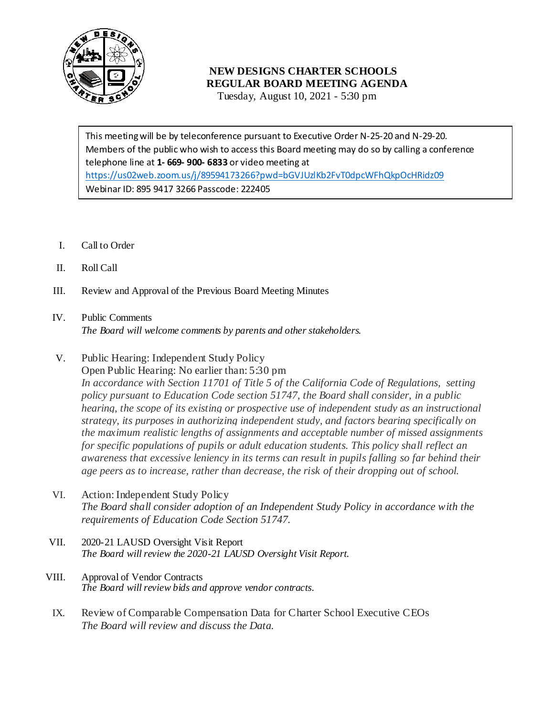

## **NEW DESIGNS CHARTER SCHOOLS REGULAR BOARD MEETING AGENDA**

Tuesday, August 10, 2021 - 5:30 pm

 Members of the public who wish to access this Board meeting may do so by calling a conference telephone line at **1- 669- 900- 6833** or video meeting at This meeting will be by teleconference pursuant to Executive Order N-25-20 and N-29-20. <https://us02web.zoom.us/j/89594173266?pwd=bGVJUzlKb2FvT0dpcWFhQkpOcHRidz09> Webinar ID: 895 9417 3266 Passcode: 222405

- I. Call to Order
- II. Roll Call
- III. Review and Approval of the Previous Board Meeting Minutes

# IV. Public Comments *The Board will welcome comments by parents and other stakeholders.*

V. Public Hearing: Independent Study Policy

Open Public Hearing: No earlier than: 5:30 pm *In accordance with Section 11701 of Title 5 of the California Code of Regulations, setting policy pursuant to Education Code section 51747, the Board shall consider, in a public hearing, the scope of its existing or prospective use of independent study as an instructional strategy, its purposes in authorizing independent study, and factors bearing specifically on the maximum realistic lengths of assignments and acceptable number of missed assignments for specific populations of pupils or adult education students. This policy shall reflect an awareness that excessive leniency in its terms can result in pupils falling so far behind their age peers as to increase, rather than decrease, the risk of their dropping out of school.*

- VI. Action: Independent Study Policy *The Board shall consider adoption of an Independent Study Policy in accordance with the requirements of Education Code Section 51747.*
- VII. 2020-21 LAUSD Oversight Visit Report *The Board will review the 2020-21 LAUSD Oversight Visit Report.*
- VIII. Approval of Vendor Contracts *The Board will review bids and approve vendor contracts.*
- IX. Review of Comparable Compensation Data for Charter School Executive CEOs *The Board will review and discuss the Data.*